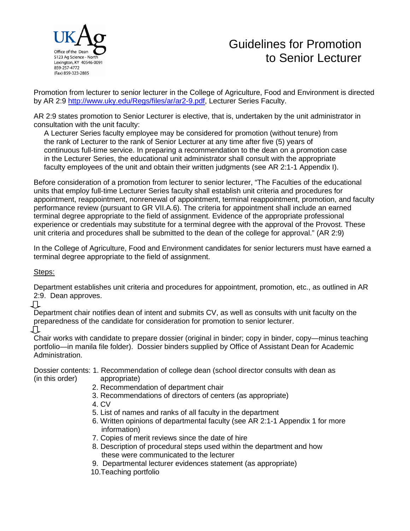

## Guidelines for Promotion to Senior Lecturer

Promotion from lecturer to senior lecturer in the College of Agriculture, Food and Environment is directed by AR 2:9 [http://www.uky.edu/Regs/files/ar/ar2-9.pdf,](http://www.uky.edu/Regs/files/ar/ar2-9.pdf) Lecturer Series Faculty.

AR 2:9 states promotion to Senior Lecturer is elective, that is, undertaken by the unit administrator in consultation with the unit faculty:

 A Lecturer Series faculty employee may be considered for promotion (without tenure) from the rank of Lecturer to the rank of Senior Lecturer at any time after five (5) years of continuous full-time service. In preparing a recommendation to the dean on a promotion case in the Lecturer Series, the educational unit administrator shall consult with the appropriate faculty employees of the unit and obtain their written judgments (see AR 2:1-1 Appendix I).

Before consideration of a promotion from lecturer to senior lecturer, "The Faculties of the educational units that employ full-time Lecturer Series faculty shall establish unit criteria and procedures for appointment, reappointment, nonrenewal of appointment, terminal reappointment, promotion, and faculty performance review (pursuant to GR VII.A.6). The criteria for appointment shall include an earned terminal degree appropriate to the field of assignment. Evidence of the appropriate professional experience or credentials may substitute for a terminal degree with the approval of the Provost. These unit criteria and procedures shall be submitted to the dean of the college for approval." (AR 2:9)

In the College of Agriculture, Food and Environment candidates for senior lecturers must have earned a terminal degree appropriate to the field of assignment.

Steps:

Department establishes unit criteria and procedures for appointment, promotion, etc., as outlined in AR 2:9. Dean approves.

几

Department chair notifies dean of intent and submits CV, as well as consults with unit faculty on the preparedness of the candidate for consideration for promotion to senior lecturer. **↓**

Chair works with candidate to prepare dossier (original in binder; copy in binder, copy—minus teaching portfolio—in manila file folder). Dossier binders supplied by Office of Assistant Dean for Academic Administration.

Dossier contents: 1. Recommendation of college dean (school director consults with dean as (in this order) appropriate)

- 2. Recommendation of department chair
- 3. Recommendations of directors of centers (as appropriate)
- 4. CV
- 5. List of names and ranks of all faculty in the department
- 6. Written opinions of departmental faculty (see AR 2:1-1 Appendix 1 for more information)
- 7. Copies of merit reviews since the date of hire
- 8. Description of procedural steps used within the department and how these were communicated to the lecturer
- 9. Departmental lecturer evidences statement (as appropriate)
- 10.Teaching portfolio